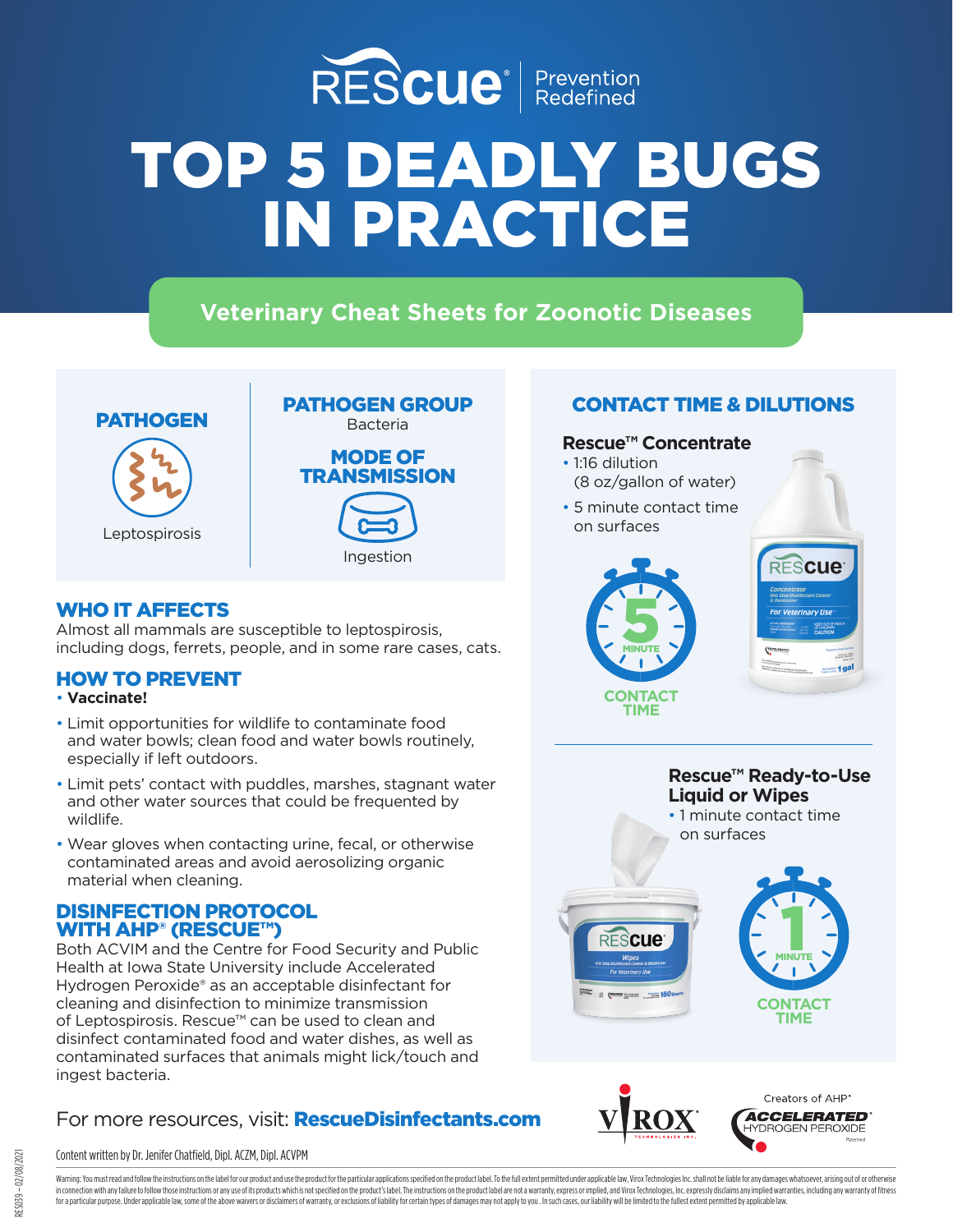

# **Veterinary Cheat Sheets for Zoonotic Diseases**





# WHO IT AFFECTS

Almost all mammals are susceptible to leptospirosis, including dogs, ferrets, people, and in some rare cases, cats.

### HOW TO PREVENT

- **Vaccinate!**
- Limit opportunities for wildlife to contaminate food and water bowls; clean food and water bowls routinely, especially if left outdoors.
- Limit pets' contact with puddles, marshes, stagnant water and other water sources that could be frequented by wildlife.
- Wear gloves when contacting urine, fecal, or otherwise contaminated areas and avoid aerosolizing organic material when cleaning.

### DISINFECTION PROTOCOL WITH AHP® (RESCUE™)

Both ACVIM and the Centre for Food Security and Public Health at Iowa State University include Accelerated Hydrogen Peroxide® as an acceptable disinfectant for cleaning and disinfection to minimize transmission of Leptospirosis. Rescue™ can be used to clean and disinfect contaminated food and water dishes, as well as contaminated surfaces that animals might lick/touch and ingest bacteria.

# For more resources, visit: **RescueDisinfectants.com**

### Content written by Dr. Jenifer Chatfield, Dipl. ACZM, Dipl. ACVPM

# CONTACT TIME & DILUTIONS

### **Rescue™ Concentrate**

- 1:16 dilution (8 oz/gallon of water)
- 5 minute contact time on surfaces

**CONTACT TIME**

**S MINUTE** 









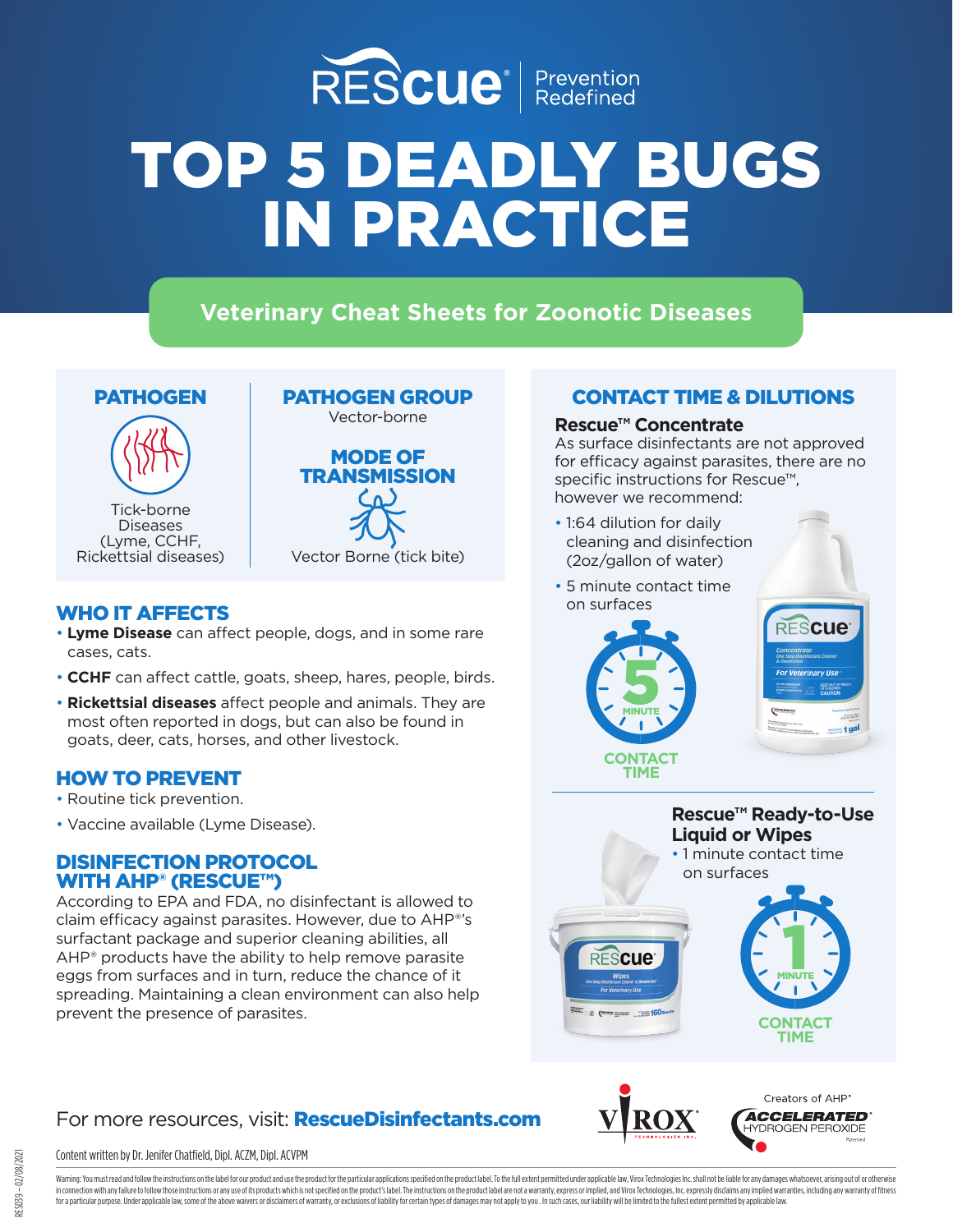

# **Veterinary Cheat Sheets for Zoonotic Diseases**



Diseases (Lyme, CCHF, Rickettsial diseases)



# WHO IT AFFECTS **EXECUTE:** The state on surfaces

- **Lyme Disease** can affect people, dogs, and in some rare cases, cats.
- **CCHF** can affect cattle, goats, sheep, hares, people, birds.
- **Rickettsial diseases** affect people and animals. They are most often reported in dogs, but can also be found in goats, deer, cats, horses, and other livestock.

### HOW TO PREVENT

- Routine tick prevention.
- Vaccine available (Lyme Disease).

### DISINFECTION PROTOCOL WITH AHP<sup>®</sup> (RESCUE™)

According to EPA and FDA, no disinfectant is allowed to claim efficacy against parasites. However, due to AHP®'s surfactant package and superior cleaning abilities, all AHP® products have the ability to help remove parasite eggs from surfaces and in turn, reduce the chance of it spreading. Maintaining a clean environment can also help prevent the presence of parasites.

# For more resources, visit: **RescueDisinfectants.com**

#### Content written by Dr. Jenifer Chatfield, Dipl. ACZM, Dipl. ACVPM

CONTACT TIME & DILUTIONS

### **Rescue™ Concentrate**

As surface disinfectants are not approved for efficacy against parasites, there are no specific instructions for Rescue™, however we recommend:

- 1:64 dilution for daily cleaning and disinfection (2oz/gallon of water)
- 5 minute contact time

**S** MINUTE





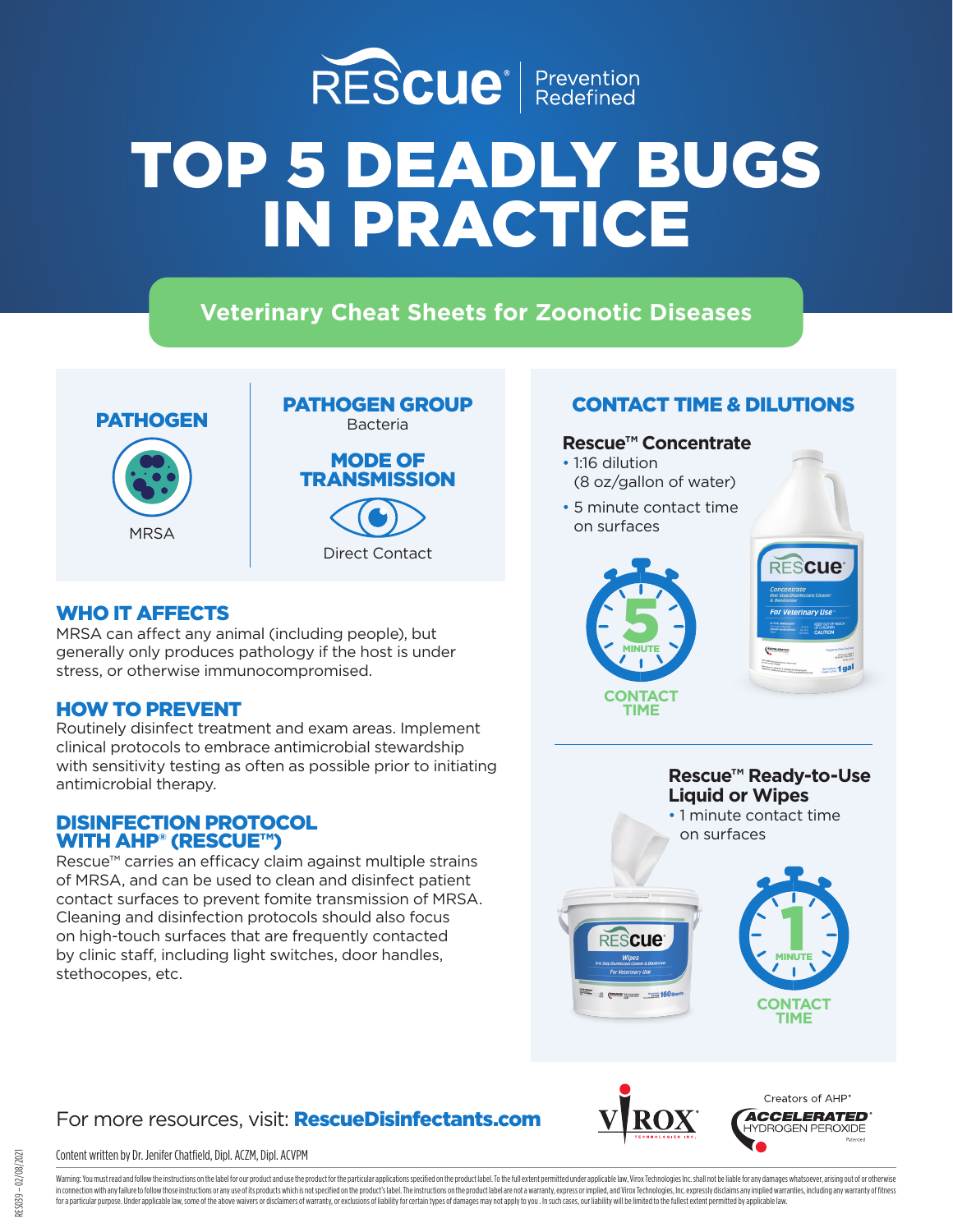

**Veterinary Cheat Sheets for Zoonotic Diseases**





## WHO IT AFFECTS

MRSA can affect any animal (including people), but generally only produces pathology if the host is under stress, or otherwise immunocompromised.

### HOW TO PREVENT

Routinely disinfect treatment and exam areas. Implement clinical protocols to embrace antimicrobial stewardship with sensitivity testing as often as possible prior to initiating antimicrobial therapy.

### DISINFECTION PROTOCOL WITH AHP<sup>®</sup> (RESCUE™)

Rescue™ carries an efficacy claim against multiple strains of MRSA, and can be used to clean and disinfect patient contact surfaces to prevent fomite transmission of MRSA. Cleaning and disinfection protocols should also focus on high-touch surfaces that are frequently contacted by clinic staff, including light switches, door handles, stethocopes, etc.

# CONTACT TIME & DILUTIONS

### **Rescue™ Concentrate**

- 1:16 dilution (8 oz/gallon of water)
- 5 minute contact time on surfaces





**Rescue™ Ready-to-Use Liquid or Wipes** • 1 minute contact time on surfaces



# For more resources, visit: **RescueDisinfectants.com**

#### Content written by Dr. Jenifer Chatfield, Dipl. ACZM, Dipl. ACVPM

Creators of AHP **ACCELERATED IYDROGEN PEROXIDE**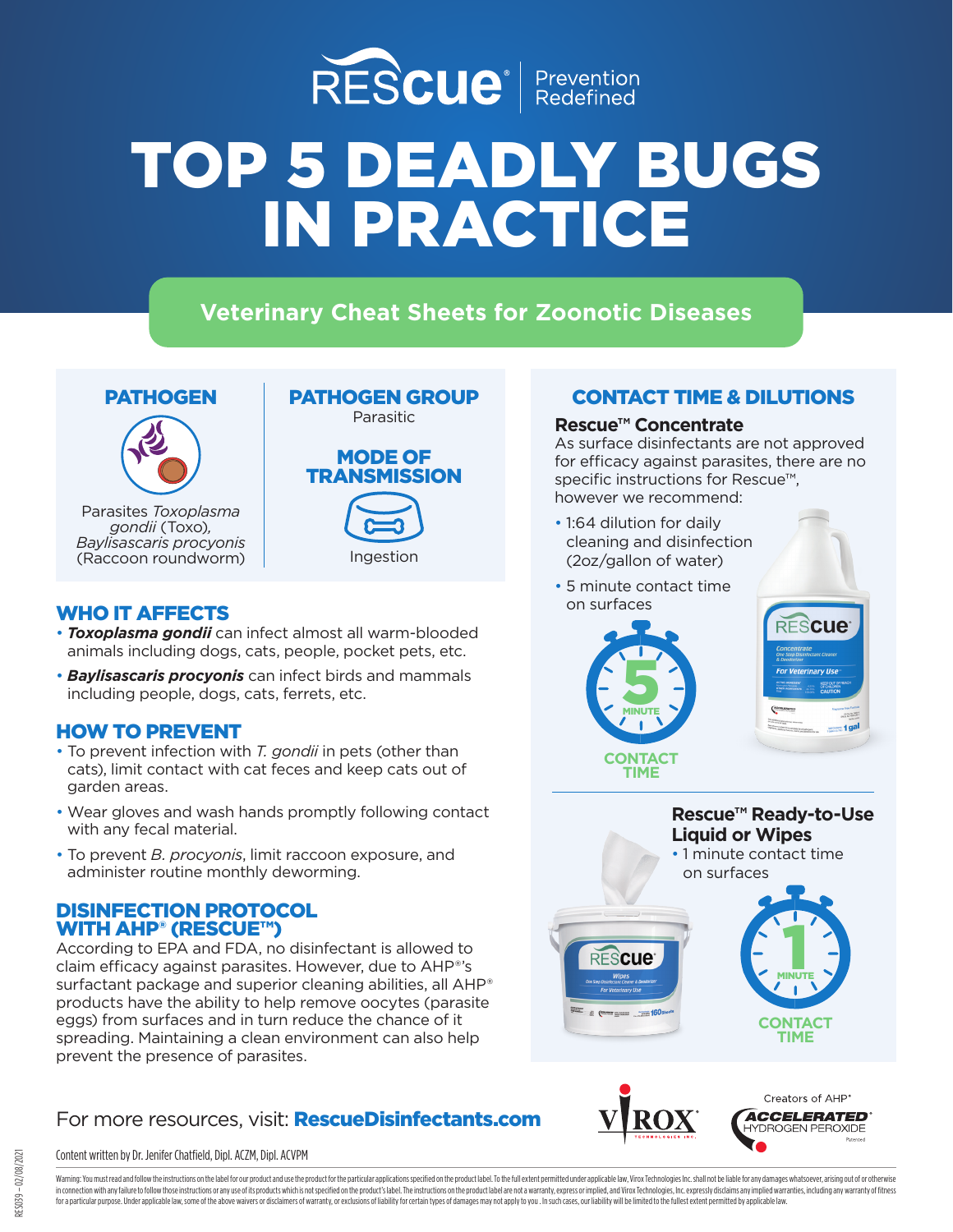

# **Veterinary Cheat Sheets for Zoonotic Diseases**

# PATHOGEN



Parasites *Toxoplasma gondii* (Toxo)*, Baylisascaris procyonis*  (Raccoon roundworm)



# MODE OF **TRANSMISSION**

# Ingestion

### WHO IT AFFECTS

- *Toxoplasma gondii* can infect almost all warm-blooded animals including dogs, cats, people, pocket pets, etc.
- *Baylisascaris procyonis* can infect birds and mammals including people, dogs, cats, ferrets, etc.

### HOW TO PREVENT

- To prevent infection with *T. gondii* in pets (other than cats), limit contact with cat feces and keep cats out of garden areas.
- Wear gloves and wash hands promptly following contact with any fecal material.
- To prevent *B. procyonis*, limit raccoon exposure, and administer routine monthly deworming.

### DISINFECTION PROTOCOL WITH AHP® (RESCUE™)

According to EPA and FDA, no disinfectant is allowed to claim efficacy against parasites. However, due to AHP®'s surfactant package and superior cleaning abilities, all AHP® products have the ability to help remove oocytes (parasite eggs) from surfaces and in turn reduce the chance of it spreading. Maintaining a clean environment can also help prevent the presence of parasites.

# For more resources, visit: **RescueDisinfectants.com**

#### Content written by Dr. Jenifer Chatfield, Dipl. ACZM, Dipl. ACVPM

# CONTACT TIME & DILUTIONS

#### **Rescue™ Concentrate**

As surface disinfectants are not approved for efficacy against parasites, there are no specific instructions for Rescue™, however we recommend:

- 1:64 dilution for daily cleaning and disinfection (2oz/gallon of water)
- 5 minute contact time on surfaces









**ACCELERATED** YDROGEN PEROXIDE